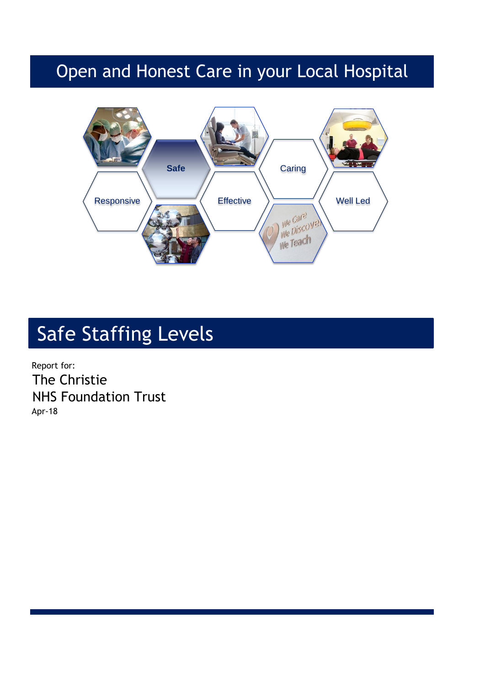## Open and Honest Care in your Local Hospital



# Safe Staffing Levels

Report for: The Christie NHS Foundation Trust Apr-18